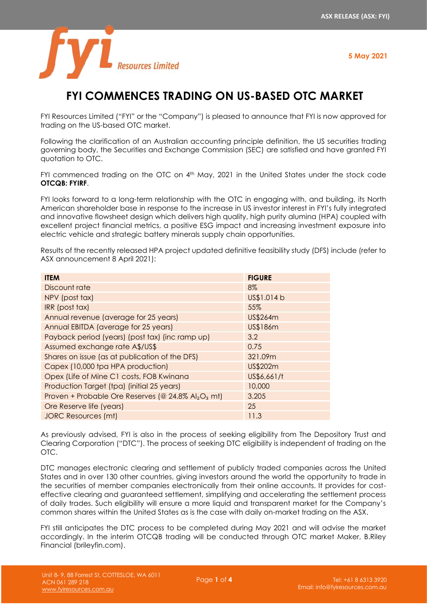

# **FYI COMMENCES TRADING ON US-BASED OTC MARKET**

FYI Resources Limited ("FYI" or the "Company") is pleased to announce that FYI is now approved for trading on the US-based OTC market.

Following the clarification of an Australian accounting principle definition, the US securities trading governing body, the Securities and Exchange Commission (SEC) are satisfied and have granted FYI quotation to OTC.

FYI commenced trading on the OTC on 4<sup>th</sup> May, 2021 in the United States under the stock code **OTCQB: FYIRF**.

FYI looks forward to a long-term relationship with the OTC in engaging with, and building, its North American shareholder base in response to the increase in US investor interest in FYI's fully integrated and innovative flowsheet design which delivers high quality, high purity alumina (HPA) coupled with excellent project financial metrics, a positive ESG impact and increasing investment exposure into electric vehicle and strategic battery minerals supply chain opportunities.

Results of the recently released HPA project updated definitive feasibility study (DFS) include (refer to ASX announcement 8 April 2021):

| <b>ITEM</b>                                           | <b>FIGURE</b> |
|-------------------------------------------------------|---------------|
| Discount rate                                         | 8%            |
| NPV (post tax)                                        | US\$1.014 b   |
| IRR (post tax)                                        | 55%           |
| Annual revenue (average for 25 years)                 | US\$264m      |
| Annual EBITDA (average for 25 years)                  | US\$186m      |
| Payback period (years) (post tax) (inc ramp up)       | 3.2           |
| Assumed exchange rate A\$/US\$                        | 0.75          |
| Shares on issue (as at publication of the DFS)        | 321.09m       |
| Capex (10,000 tpa HPA production)                     | US\$202m      |
| Opex (Life of Mine C1 costs, FOB Kwinana              | US\$6,661/t   |
| Production Target (tpa) (initial 25 years)            | 10,000        |
| Proven + Probable Ore Reserves (@ 24.8% $Al_2O_3$ mt) | 3.205         |
| Ore Reserve life (years)                              | 25            |
| <b>JORC Resources (mt)</b>                            | 11.3          |

As previously advised, FYI is also in the process of seeking eligibility from The Depository Trust and Clearing Corporation ("DTC"). The process of seeking DTC eligibility is independent of trading on the OTC.

DTC manages electronic clearing and settlement of publicly traded companies across the United States and in over 130 other countries, giving investors around the world the opportunity to trade in the securities of member companies electronically from their online accounts. It provides for costeffective clearing and guaranteed settlement, simplifying and accelerating the settlement process of daily trades. Such eligibility will ensure a more liquid and transparent market for the Company's common shares within the United States as is the case with daily on-market trading on the ASX.

FYI still anticipates the DTC process to be completed during May 2021 and will advise the market accordingly. In the interim OTCQB trading will be conducted through OTC market Maker, B.Riley Financial (brileyfin.com).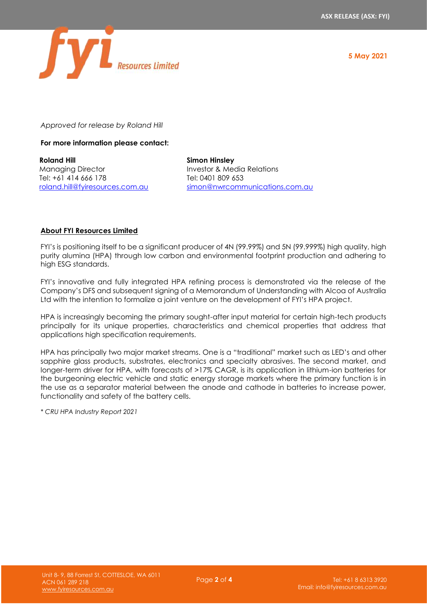

*Approved for release by Roland Hill*

**For more information please contact:** 

**Roland Hill** Managing Director Tel: +61 414 666 178 [roland.hill@fyiresources.com.au](mailto:roland.hill@fyiresources.com.au) **Simon Hinsley** Investor & Media Relations Tel: 0401 809 653 [simon@nwrcommunications.com.au](mailto:simon@nwrcommunications.com.au)

# **About FYI Resources Limited**

FYI's is positioning itself to be a significant producer of 4N (99.99%) and 5N (99.999%) high quality, high purity alumina (HPA) through low carbon and environmental footprint production and adhering to high ESG standards.

FYI's innovative and fully integrated HPA refining process is demonstrated via the release of the Company's DFS and subsequent signing of a Memorandum of Understanding with Alcoa of Australia Ltd with the intention to formalize a joint venture on the development of FYI's HPA project.

HPA is increasingly becoming the primary sought-after input material for certain high-tech products principally for its unique properties, characteristics and chemical properties that address that applications high specification requirements.

HPA has principally two major market streams. One is a "traditional" market such as LED's and other sapphire glass products, substrates, electronics and specialty abrasives. The second market, and longer-term driver for HPA, with forecasts of >17% CAGR, is its application in lithium-ion batteries for the burgeoning electric vehicle and static energy storage markets where the primary function is in the use as a separator material between the anode and cathode in batteries to increase power, functionality and safety of the battery cells.

*\* CRU HPA Industry Report 2021*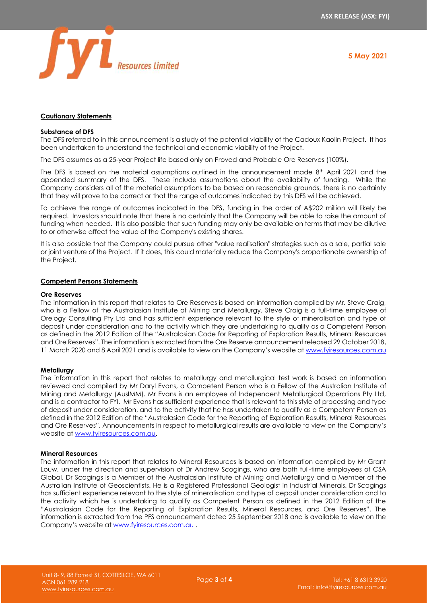

## **Cautionary Statements**

## **Substance of DFS**

The DFS referred to in this announcement is a study of the potential viability of the Cadoux Kaolin Project. It has been undertaken to understand the technical and economic viability of the Project.

The DFS assumes as a 25-year Project life based only on Proved and Probable Ore Reserves (100%).

The DFS is based on the material assumptions outlined in the announcement made 8<sup>th</sup> April 2021 and the appended summary of the DFS. These include assumptions about the availability of funding. While the Company considers all of the material assumptions to be based on reasonable grounds, there is no certainty that they will prove to be correct or that the range of outcomes indicated by this DFS will be achieved.

To achieve the range of outcomes indicated in the DFS, funding in the order of A\$202 million will likely be required. Investors should note that there is no certainty that the Company will be able to raise the amount of funding when needed. It is also possible that such funding may only be available on terms that may be dilutive to or otherwise affect the value of the Company's existing shares.

It is also possible that the Company could pursue other "value realisation" strategies such as a sale, partial sale or joint venture of the Project. If it does, this could materially reduce the Company's proportionate ownership of the Project.

#### **Competent Persons Statements**

#### **Ore Reserves**

The information in this report that relates to Ore Reserves is based on information compiled by Mr. Steve Craig, who is a Fellow of the Australasian Institute of Mining and Metallurgy. Steve Craig is a full-time employee of Orelogy Consulting Pty Ltd and has sufficient experience relevant to the style of mineralisation and type of deposit under consideration and to the activity which they are undertaking to qualify as a Competent Person as defined in the 2012 Edition of the "Australasian Code for Reporting of Exploration Results, Mineral Resources and Ore Reserves". The information is extracted from the Ore Reserve announcement released 29 October 2018, 11 March 2020 and 8 April 2021 and is available to view on the Company's website a[t www.fyiresources.com.au](http://www.fyiresources.com.au/)

#### **Metallurgy**

The information in this report that relates to metallurgy and metallurgical test work is based on information reviewed and compiled by Mr Daryl Evans, a Competent Person who is a Fellow of the Australian Institute of Mining and Metallurgy (AusIMM). Mr Evans is an employee of Independent Metallurgical Operations Pty Ltd, and is a contractor to FYI. Mr Evans has sufficient experience that is relevant to this style of processing and type of deposit under consideration, and to the activity that he has undertaken to qualify as a Competent Person as defined in the 2012 Edition of the "Australasian Code for the Reporting of Exploration Results, Mineral Resources and Ore Reserves". Announcements in respect to metallurgical results are available to view on the Company's website a[t www.fyiresources.com.au.](http://www.fyiresources.com.au/)

### **Mineral Resources**

The information in this report that relates to Mineral Resources is based on information compiled by Mr Grant Louw, under the direction and supervision of Dr Andrew Scogings, who are both full-time employees of CSA Global. Dr Scogings is a Member of the Australasian Institute of Mining and Metallurgy and a Member of the Australian Institute of Geoscientists. He is a Registered Professional Geologist in Industrial Minerals. Dr Scogings has sufficient experience relevant to the style of mineralisation and type of deposit under consideration and to the activity which he is undertaking to qualify as Competent Person as defined in the 2012 Edition of the "Australasian Code for the Reporting of Exploration Results, Mineral Resources, and Ore Reserves". The information is extracted from the PFS announcement dated 25 September 2018 and is available to view on the Company's website at [www.fyiresources.com.au](http://www.fyiresources.com.au/) .